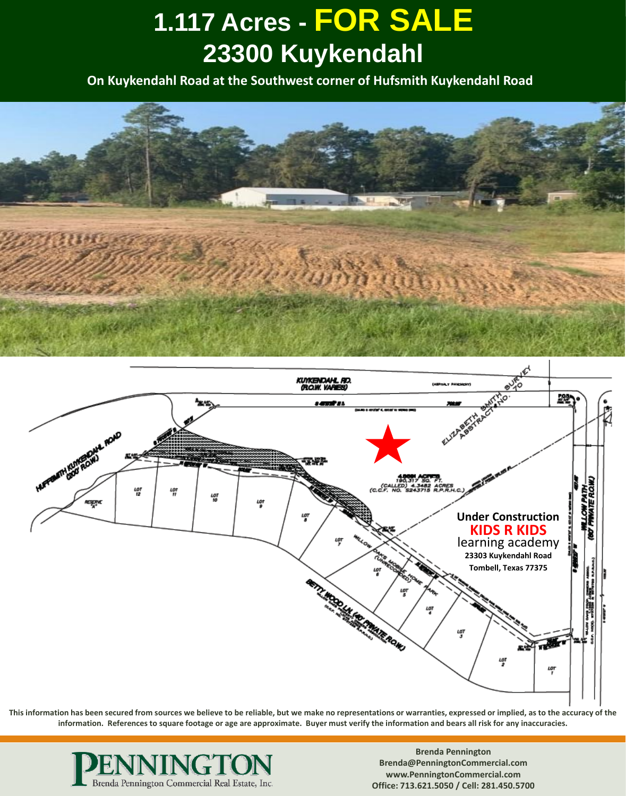**On Kuykendahl Road at the Southwest corner of Hufsmith Kuykendahl Road**





**This information has been secured from sources we believe to be reliable, but we make no representations or warranties, expressed or implied, as to the accuracy of the information. References to square footage or age are approximate. Buyer must verify the information and bears all risk for any inaccuracies.**

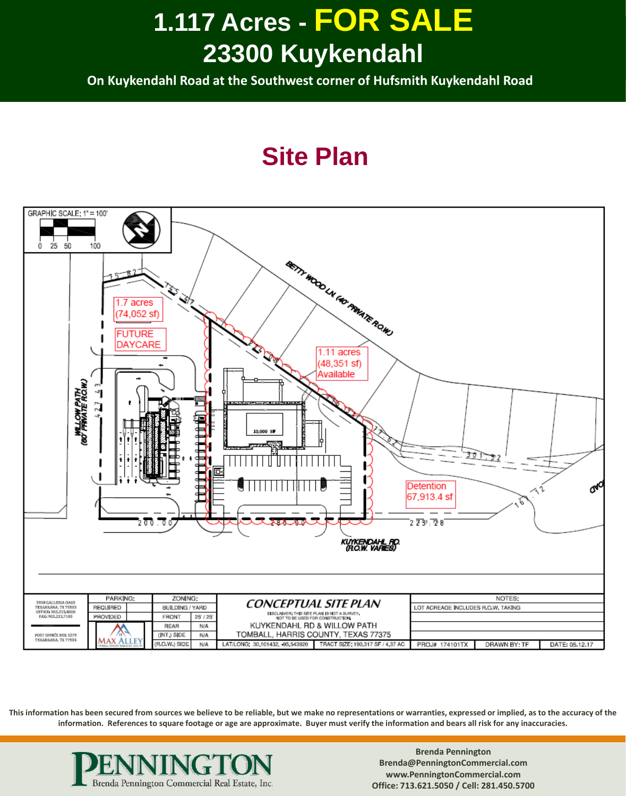**On Kuykendahl Road at the Southwest corner of Hufsmith Kuykendahl Road**

#### **Site Plan**



**This information has been secured from sources we believe to be reliable, but we make no representations or warranties, expressed or implied, as to the accuracy of the information. References to square footage or age are approximate. Buyer must verify the information and bears all risk for any inaccuracies.**

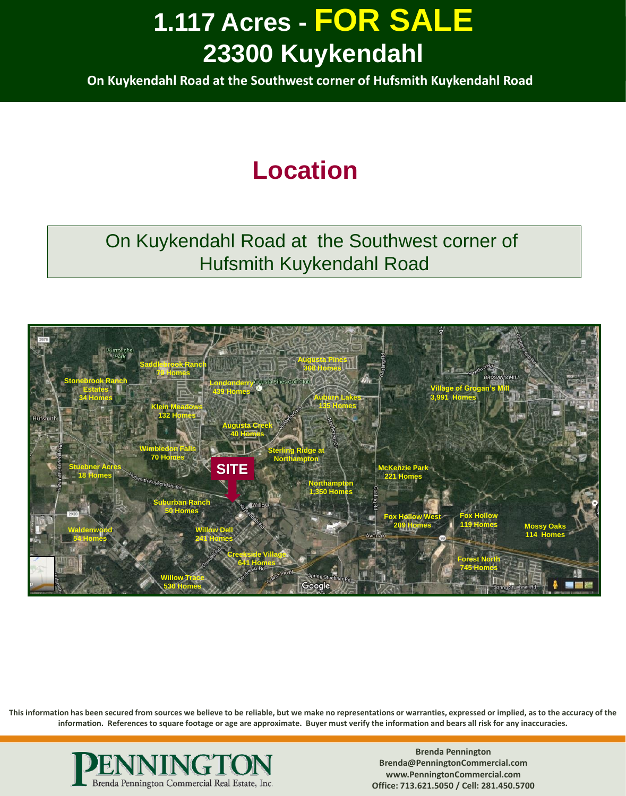**On Kuykendahl Road at the Southwest corner of Hufsmith Kuykendahl Road**

### **Location**

#### On Kuykendahl Road at the Southwest corner of Hufsmith Kuykendahl Road



**This information has been secured from sources we believe to be reliable, but we make no representations or warranties, expressed or implied, as to the accuracy of the information. References to square footage or age are approximate. Buyer must verify the information and bears all risk for any inaccuracies.**